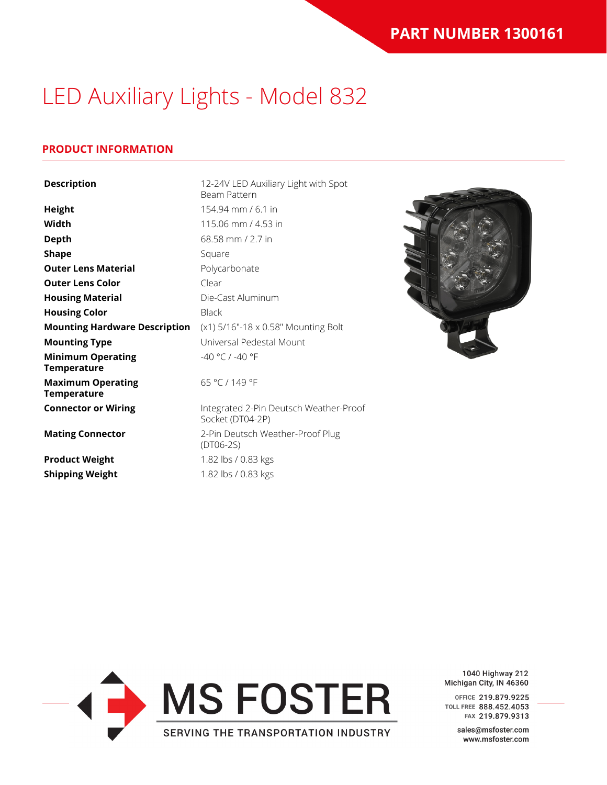## LED Auxiliary Lights - Model 832

#### **PRODUCT INFORMATION**

| <b>Description</b>                             | 12-24V LED Auxiliary Light with Spot<br>Beam Pattern       |
|------------------------------------------------|------------------------------------------------------------|
| <b>Height</b>                                  | 154.94 mm / 6.1 in                                         |
| Width                                          | 115.06 mm / 4.53 in                                        |
| <b>Depth</b>                                   | 68.58 mm / 2.7 in                                          |
| <b>Shape</b>                                   | Square                                                     |
| <b>Outer Lens Material</b>                     | Polycarbonate                                              |
| <b>Outer Lens Color</b>                        | Clear                                                      |
| <b>Housing Material</b>                        | Die-Cast Aluminum                                          |
| <b>Housing Color</b>                           | <b>Black</b>                                               |
| <b>Mounting Hardware Description</b>           | (x1) 5/16"-18 x 0.58" Mounting Bolt                        |
| <b>Mounting Type</b>                           | Universal Pedestal Mount                                   |
| <b>Minimum Operating</b><br><b>Temperature</b> | -40 °C / -40 °F                                            |
| <b>Maximum Operating</b><br>Temperature        | 65 °C / 149 °F                                             |
| <b>Connector or Wiring</b>                     | Integrated 2-Pin Deutsch Weather-Proof<br>Socket (DT04-2P) |
| <b>Mating Connector</b>                        | 2-Pin Deutsch Weather-Proof Plug<br>$(DTO6-2S)$            |
| <b>Product Weight</b>                          | 1.82 lbs / 0.83 kgs                                        |
| <b>Shipping Weight</b>                         | 1.82 lbs / 0.83 kgs                                        |



1040 Highway 212 Michigan City, IN 46360

OFFICE 219.879.9225 TOLL FREE 888.452.4053 FAX 219.879.9313

> sales@msfoster.com www.msfoster.com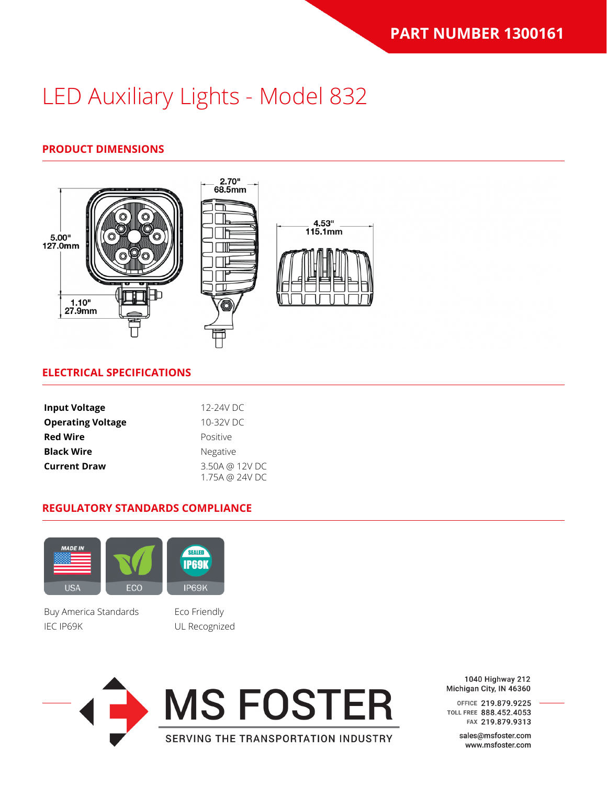# LED Auxiliary Lights - Model 832

### **PRODUCT DIMENSIONS**



#### **ELECTRICAL SPECIFICATIONS**

| <b>Input Voltage</b>     | 12-24V DC                        |
|--------------------------|----------------------------------|
| <b>Operating Voltage</b> | 10-32V DC                        |
| <b>Red Wire</b>          | Positive                         |
| <b>Black Wire</b>        | <b>Negative</b>                  |
| <b>Current Draw</b>      | 3.50A @ 12V DC<br>1.75A @ 24V DC |

#### **REGULATORY STANDARDS COMPLIANCE**



Buy America Standards Eco Friendly IEC IP69K UL Recognized





1040 Highway 212 Michigan City, IN 46360

OFFICE 219.879.9225 TOLL FREE 888.452.4053 FAX 219.879.9313

> sales@msfoster.com www.msfoster.com